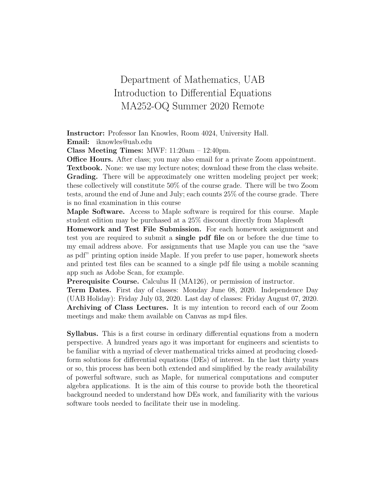## Department of Mathematics, UAB Introduction to Differential Equations MA252-OQ Summer 2020 Remote

Instructor: Professor Ian Knowles, Room 4024, University Hall. Email: iknowles@uab.edu

Class Meeting Times: MWF: 11:20am – 12:40pm.

Office Hours. After class; you may also email for a private Zoom appointment.

Textbook. None: we use my lecture notes; download these from the class website. Grading. There will be approximately one written modeling project per week; these collectively will constitute 50% of the course grade. There will be two Zoom tests, around the end of June and July; each counts 25% of the course grade. There is no final examination in this course

Maple Software. Access to Maple software is required for this course. Maple student edition may be purchased at a 25% discount directly from Maplesoft

Homework and Test File Submission. For each homework assignment and test you are required to submit a single pdf file on or before the due time to my email address above. For assignments that use Maple you can use the "save as pdf" printing option inside Maple. If you prefer to use paper, homework sheets and printed test files can be scanned to a single pdf file using a mobile scanning app such as Adobe Scan, for example.

Prerequisite Course. Calculus II (MA126), or permission of instructor.

Term Dates. First day of classes: Monday June 08, 2020. Independence Day (UAB Holiday): Friday July 03, 2020. Last day of classes: Friday August 07, 2020. Archiving of Class Lectures. It is my intention to record each of our Zoom meetings and make them available on Canvas as mp4 files.

Syllabus. This is a first course in ordinary differential equations from a modern perspective. A hundred years ago it was important for engineers and scientists to be familiar with a myriad of clever mathematical tricks aimed at producing closedform solutions for differential equations (DEs) of interest. In the last thirty years or so, this process has been both extended and simplified by the ready availability of powerful software, such as Maple, for numerical computations and computer algebra applications. It is the aim of this course to provide both the theoretical background needed to understand how DEs work, and familiarity with the various software tools needed to facilitate their use in modeling.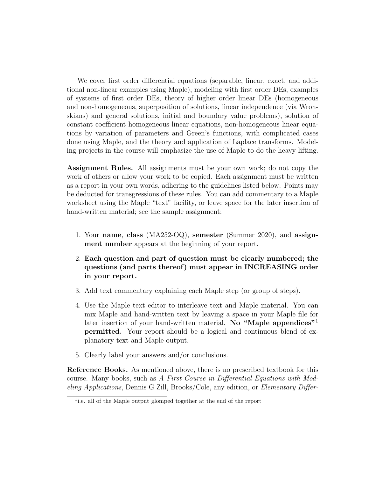We cover first order differential equations (separable, linear, exact, and additional non-linear examples using Maple), modeling with first order DEs, examples of systems of first order DEs, theory of higher order linear DEs (homogeneous and non-homogeneous, superposition of solutions, linear independence (via Wronskians) and general solutions, initial and boundary value problems), solution of constant coefficient homogeneous linear equations, non-homogeneous linear equations by variation of parameters and Green's functions, with complicated cases done using Maple, and the theory and application of Laplace transforms. Modeling projects in the course will emphasize the use of Maple to do the heavy lifting.

Assignment Rules. All assignments must be your own work; do not copy the work of others or allow your work to be copied. Each assignment must be written as a report in your own words, adhering to the guidelines listed below. Points may be deducted for transgressions of these rules. You can add commentary to a Maple worksheet using the Maple "text" facility, or leave space for the later insertion of hand-written material; see the sample assignment:

- 1. Your name, class (MA252-OQ), semester (Summer 2020), and assignment number appears at the beginning of your report.
- 2. Each question and part of question must be clearly numbered; the questions (and parts thereof) must appear in INCREASING order in your report.
- 3. Add text commentary explaining each Maple step (or group of steps).
- 4. Use the Maple text editor to interleave text and Maple material. You can mix Maple and hand-written text by leaving a space in your Maple file for later insertion of your hand-written material. No "Maple appendices"<sup>1</sup> permitted. Your report should be a logical and continuous blend of explanatory text and Maple output.
- 5. Clearly label your answers and/or conclusions.

Reference Books. As mentioned above, there is no prescribed textbook for this course. Many books, such as A First Course in Differential Equations with Modeling Applications, Dennis G Zill, Brooks/Cole, any edition, or Elementary Differ-

<sup>&</sup>lt;sup>1</sup>i.e. all of the Maple output glomped together at the end of the report